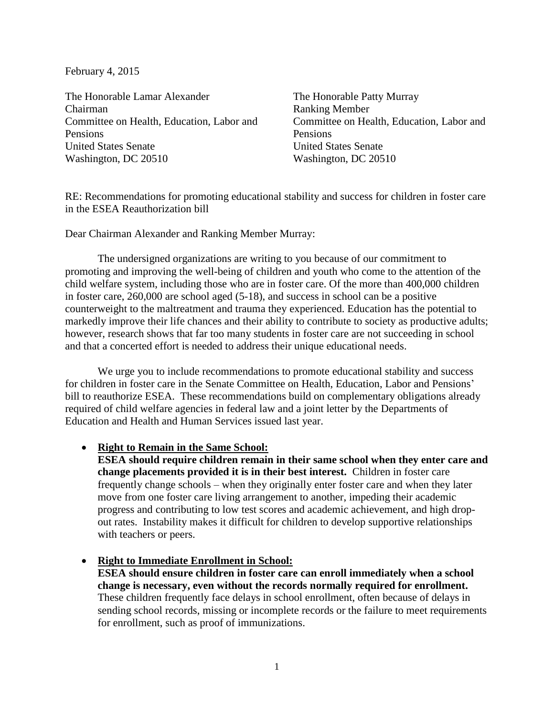February 4, 2015

The Honorable Lamar Alexander Chairman Committee on Health, Education, Labor and Pensions United States Senate Washington, DC 20510

The Honorable Patty Murray Ranking Member Committee on Health, Education, Labor and Pensions United States Senate Washington, DC 20510

RE: Recommendations for promoting educational stability and success for children in foster care in the ESEA Reauthorization bill

Dear Chairman Alexander and Ranking Member Murray:

The undersigned organizations are writing to you because of our commitment to promoting and improving the well-being of children and youth who come to the attention of the child welfare system, including those who are in foster care. Of the more than 400,000 children in foster care, 260,000 are school aged (5-18), and success in school can be a positive counterweight to the maltreatment and trauma they experienced. Education has the potential to markedly improve their life chances and their ability to contribute to society as productive adults; however, research shows that far too many students in foster care are not succeeding in school and that a concerted effort is needed to address their unique educational needs.

We urge you to include recommendations to promote educational stability and success for children in foster care in the Senate Committee on Health, Education, Labor and Pensions' bill to reauthorize ESEA. These recommendations build on complementary obligations already required of child welfare agencies in federal law and a joint letter by the Departments of Education and Health and Human Services issued last year.

#### **Right to Remain in the Same School:**

**ESEA should require children remain in their same school when they enter care and change placements provided it is in their best interest.** Children in foster care frequently change schools – when they originally enter foster care and when they later move from one foster care living arrangement to another, impeding their academic progress and contributing to low test scores and academic achievement, and high dropout rates. Instability makes it difficult for children to develop supportive relationships with teachers or peers.

#### **Right to Immediate Enrollment in School:**

**ESEA should ensure children in foster care can enroll immediately when a school change is necessary, even without the records normally required for enrollment.**  These children frequently face delays in school enrollment, often because of delays in sending school records, missing or incomplete records or the failure to meet requirements for enrollment, such as proof of immunizations.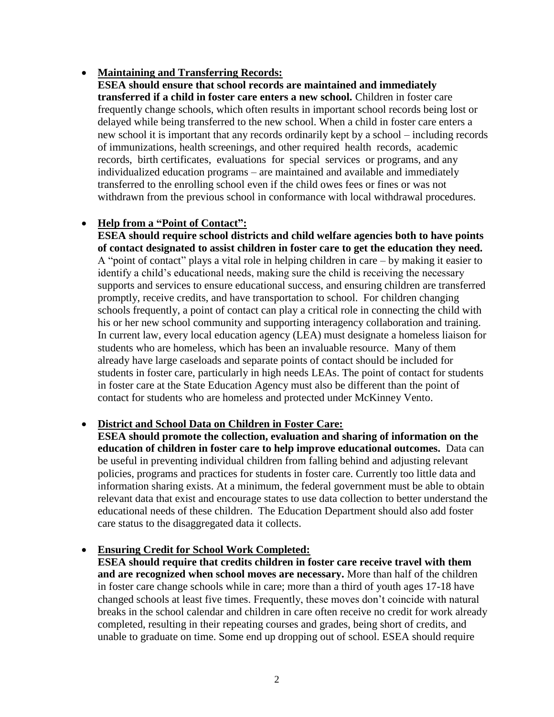#### **Maintaining and Transferring Records:**

**ESEA should ensure that school records are maintained and immediately transferred if a child in foster care enters a new school.** Children in foster care frequently change schools, which often results in important school records being lost or delayed while being transferred to the new school. When a child in foster care enters a new school it is important that any records ordinarily kept by a school – including records of immunizations, health screenings, and other required health records, academic records, birth certificates, evaluations for special services or programs, and any individualized education programs – are maintained and available and immediately transferred to the enrolling school even if the child owes fees or fines or was not withdrawn from the previous school in conformance with local withdrawal procedures.

# **Help from a "Point of Contact":**

**ESEA should require school districts and child welfare agencies both to have points of contact designated to assist children in foster care to get the education they need.** A "point of contact" plays a vital role in helping children in care – by making it easier to identify a child's educational needs, making sure the child is receiving the necessary supports and services to ensure educational success, and ensuring children are transferred promptly, receive credits, and have transportation to school. For children changing schools frequently, a point of contact can play a critical role in connecting the child with his or her new school community and supporting interagency collaboration and training. In current law, every local education agency (LEA) must designate a homeless liaison for students who are homeless, which has been an invaluable resource. Many of them already have large caseloads and separate points of contact should be included for students in foster care, particularly in high needs LEAs. The point of contact for students in foster care at the State Education Agency must also be different than the point of contact for students who are homeless and protected under McKinney Vento.

# **District and School Data on Children in Foster Care:**

**ESEA should promote the collection, evaluation and sharing of information on the education of children in foster care to help improve educational outcomes.** Data can be useful in preventing individual children from falling behind and adjusting relevant policies, programs and practices for students in foster care. Currently too little data and information sharing exists. At a minimum, the federal government must be able to obtain relevant data that exist and encourage states to use data collection to better understand the educational needs of these children. The Education Department should also add foster care status to the disaggregated data it collects.

# **Ensuring Credit for School Work Completed:**

**ESEA should require that credits children in foster care receive travel with them and are recognized when school moves are necessary.** More than half of the children in foster care change schools while in care; more than a third of youth ages 17-18 have changed schools at least five times. Frequently, these moves don't coincide with natural breaks in the school calendar and children in care often receive no credit for work already completed, resulting in their repeating courses and grades, being short of credits, and unable to graduate on time. Some end up dropping out of school. ESEA should require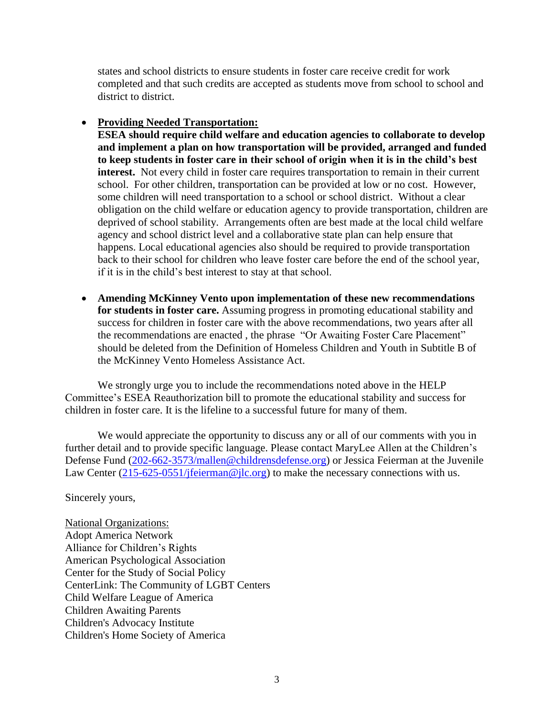states and school districts to ensure students in foster care receive credit for work completed and that such credits are accepted as students move from school to school and district to district.

# **Providing Needed Transportation:**

**ESEA should require child welfare and education agencies to collaborate to develop and implement a plan on how transportation will be provided, arranged and funded to keep students in foster care in their school of origin when it is in the child's best interest.** Not every child in foster care requires transportation to remain in their current school. For other children, transportation can be provided at low or no cost. However, some children will need transportation to a school or school district. Without a clear obligation on the child welfare or education agency to provide transportation, children are deprived of school stability. Arrangements often are best made at the local child welfare agency and school district level and a collaborative state plan can help ensure that happens. Local educational agencies also should be required to provide transportation back to their school for children who leave foster care before the end of the school year, if it is in the child's best interest to stay at that school.

 **Amending McKinney Vento upon implementation of these new recommendations for students in foster care.** Assuming progress in promoting educational stability and success for children in foster care with the above recommendations, two years after all the recommendations are enacted , the phrase "Or Awaiting Foster Care Placement" should be deleted from the Definition of Homeless Children and Youth in Subtitle B of the McKinney Vento Homeless Assistance Act.

We strongly urge you to include the recommendations noted above in the HELP Committee's ESEA Reauthorization bill to promote the educational stability and success for children in foster care. It is the lifeline to a successful future for many of them.

We would appreciate the opportunity to discuss any or all of our comments with you in further detail and to provide specific language. Please contact MaryLee Allen at the Children's Defense Fund [\(202-662-3573/mallen@childrensdefense.org\)](mailto:202-662-3573/mallen@childrensdefense.org) or Jessica Feierman at the Juvenile Law Center  $(215-625-0551/jfeierman@jlc.org)$  to make the necessary connections with us.

Sincerely yours,

National Organizations: Adopt America Network Alliance for Children's Rights American Psychological Association Center for the Study of Social Policy CenterLink: The Community of LGBT Centers Child Welfare League of America Children Awaiting Parents Children's Advocacy Institute Children's Home Society of America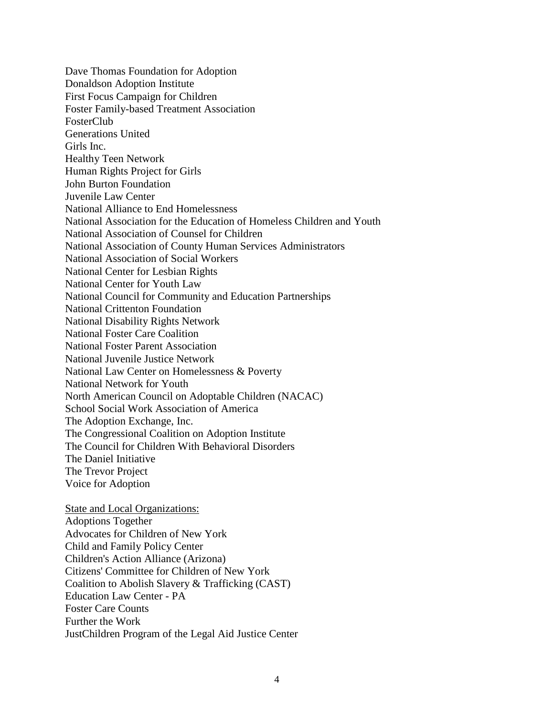Dave Thomas Foundation for Adoption Donaldson Adoption Institute First Focus Campaign for Children Foster Family-based Treatment Association FosterClub Generations United Girls Inc. Healthy Teen Network Human Rights Project for Girls John Burton Foundation Juvenile Law Center National Alliance to End Homelessness National Association for the Education of Homeless Children and Youth National Association of Counsel for Children National Association of County Human Services Administrators National Association of Social Workers National Center for Lesbian Rights National Center for Youth Law National Council for Community and Education Partnerships National Crittenton Foundation National Disability Rights Network National Foster Care Coalition National Foster Parent Association National Juvenile Justice Network National Law Center on Homelessness & Poverty National Network for Youth North American Council on Adoptable Children (NACAC) School Social Work Association of America The Adoption Exchange, Inc. The Congressional Coalition on Adoption Institute The Council for Children With Behavioral Disorders The Daniel Initiative The Trevor Project Voice for Adoption State and Local Organizations: Adoptions Together Advocates for Children of New York Child and Family Policy Center Children's Action Alliance (Arizona) Citizens' Committee for Children of New York Coalition to Abolish Slavery & Trafficking (CAST)

Education Law Center - PA Foster Care Counts

Further the Work

JustChildren Program of the Legal Aid Justice Center